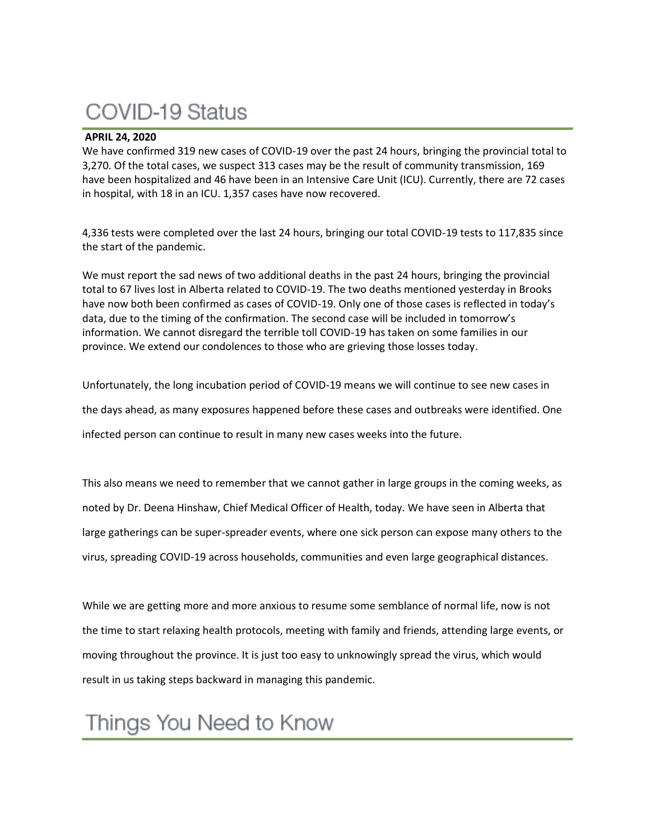# COVID-19 Status

#### **APRIL 24, 2020**

We have confirmed 319 new cases of COVID-19 over the past 24 hours, bringing the provincial total to 3,270. Of the total cases, we suspect 313 cases may be the result of community transmission, 169 have been hospitalized and 46 have been in an Intensive Care Unit (ICU). Currently, there are 72 cases in hospital, with 18 in an ICU. 1,357 cases have now recovered.

4,336 tests were completed over the last 24 hours, bringing our total COVID-19 tests to 117,835 since the start of the pandemic.

We must report the sad news of two additional deaths in the past 24 hours, bringing the provincial total to 67 lives lost in Alberta related to COVID-19. The two deaths mentioned yesterday in Brooks have now both been confirmed as cases of COVID-19. Only one of those cases is reflected in today's data, due to the timing of the confirmation. The second case will be included in tomorrow's information. We cannot disregard the terrible toll COVID-19 has taken on some families in our province. We extend our condolences to those who are grieving those losses today.

Unfortunately, the long incubation period of COVID-19 means we will continue to see new cases in the days ahead, as many exposures happened before these cases and outbreaks were identified. One infected person can continue to result in many new cases weeks into the future.

This also means we need to remember that we cannot gather in large groups in the coming weeks, as noted by Dr. Deena Hinshaw, Chief Medical Officer of Health, today. We have seen in Alberta that large gatherings can be super-spreader events, where one sick person can expose many others to the virus, spreading COVID-19 across households, communities and even large geographical distances.

While we are getting more and more anxious to resume some semblance of normal life, now is not the time to start relaxing health protocols, meeting with family and friends, attending large events, or moving throughout the province. It is just too easy to unknowingly spread the virus, which would result in us taking steps backward in managing this pandemic.

# Things You Need to Know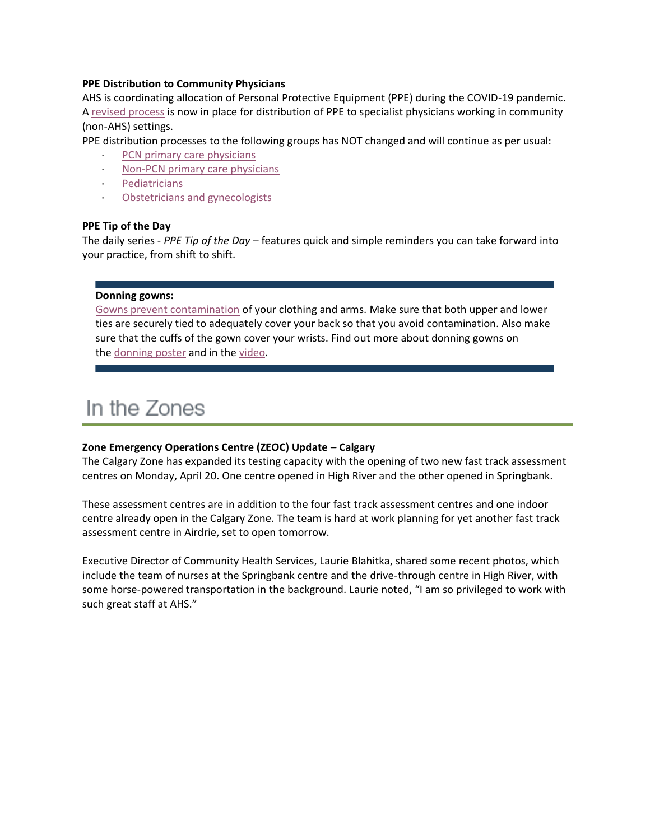#### **PPE Distribution to Community Physicians**

AHS is coordinating allocation of Personal Protective Equipment (PPE) during the COVID-19 pandemic. A [revised process](https://www.albertahealthservices.ca/assets/info/ppih/if-ppih-covid-19-ppe-distribution-community-specialists.pdf) is now in place for distribution of PPE to specialist physicians working in community (non-AHS) settings.

PPE distribution processes to the following groups has NOT changed and will continue as per usual:

- [PCN primary care physicians](https://www.albertahealthservices.ca/assets/info/ppih/if-ppih-covid-19-ppe-distribution.pdf)
- · [Non-PCN primary care physicians](https://www.albertahealthservices.ca/assets/info/ppih/if-ppih-covid-19-ppe-distribution-non-pcn.pdf)
- **[Pediatricians](https://www.albertahealthservices.ca/assets/info/ppih/if-ppih-covid-19-ppe-distribution-ob-gyn-peds.pdf)**
- · [Obstetricians and gynecologists](https://www.albertahealthservices.ca/assets/info/ppih/if-ppih-covid-19-ppe-distribution-ob-gyn-peds.pdf)

#### **PPE Tip of the Day**

The daily series - *PPE Tip of the Day* – features quick and simple reminders you can take forward into your practice, from shift to shift.

#### **Donning gowns:**

[Gowns prevent contamination](https://www.albertahealthservices.ca/assets/Infofor/hp/if-hp-ipc-donning-ppe-poster.pdf) of your clothing and arms. Make sure that both upper and lower ties are securely tied to adequately cover your back so that you avoid contamination. Also make sure that the cuffs of the gown cover your wrists. Find out more about donning gowns on the [donning poster](https://www.albertahealthservices.ca/assets/Infofor/hp/if-hp-ipc-donning-ppe-poster.pdf) and in the [video.](https://ahamms01.https.internapcdn.net/ahamms01/Content/AHS_Website/Information_For/if-hp-ipc-donning-and-doffing.mp4)

### In the Zones

#### **Zone Emergency Operations Centre (ZEOC) Update – Calgary**

The Calgary Zone has expanded its testing capacity with the opening of two new fast track assessment centres on Monday, April 20. One centre opened in High River and the other opened in Springbank.

These assessment centres are in addition to the four fast track assessment centres and one indoor centre already open in the Calgary Zone. The team is hard at work planning for yet another fast track assessment centre in Airdrie, set to open tomorrow.

Executive Director of Community Health Services, Laurie Blahitka, shared some recent photos, which include the team of nurses at the Springbank centre and the drive-through centre in High River, with some horse-powered transportation in the background. Laurie noted, "I am so privileged to work with such great staff at AHS."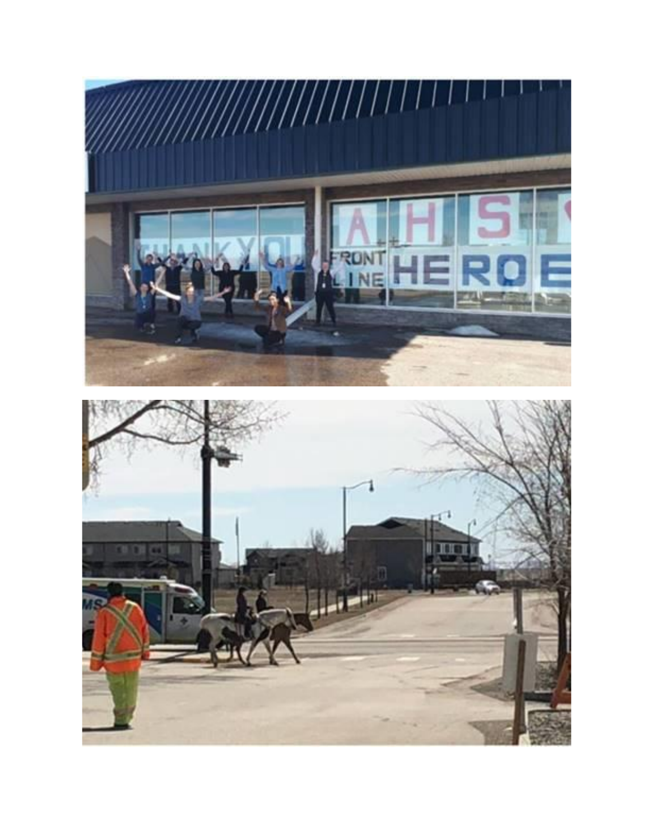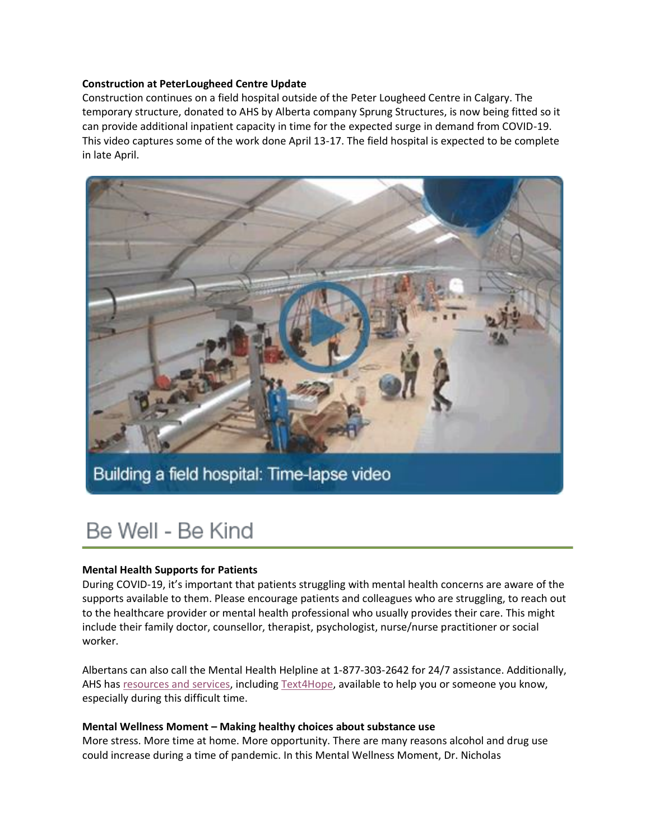#### **Construction at PeterLougheed Centre Update**

Construction continues on a field hospital outside of the Peter Lougheed Centre in Calgary. The temporary structure, donated to AHS by Alberta company Sprung Structures, is now being fitted so it can provide additional inpatient capacity in time for the expected surge in demand from COVID-19. This video captures some of the work done April 13-17. The field hospital is expected to be complete in late April.



Building a field hospital: Time-lapse video

## Be Well - Be Kind

#### **Mental Health Supports for Patients**

During COVID-19, it's important that patients struggling with mental health concerns are aware of the supports available to them. Please encourage patients and colleagues who are struggling, to reach out to the healthcare provider or mental health professional who usually provides their care. This might include their family doctor, counsellor, therapist, psychologist, nurse/nurse practitioner or social worker.

Albertans can also call the Mental Health Helpline at 1-877-303-2642 for 24/7 assistance. Additionally, AHS has [resources and services,](https://www.albertahealthservices.ca/amh/Page16759.aspx) including [Text4Hope,](https://www.albertahealthservices.ca/topics/Page17019.aspx) available to help you or someone you know, especially during this difficult time.

#### **Mental Wellness Moment – Making healthy choices about substance use**

More stress. More time at home. More opportunity. There are many reasons alcohol and drug use could increase during a time of pandemic. In this Mental Wellness Moment, Dr. Nicholas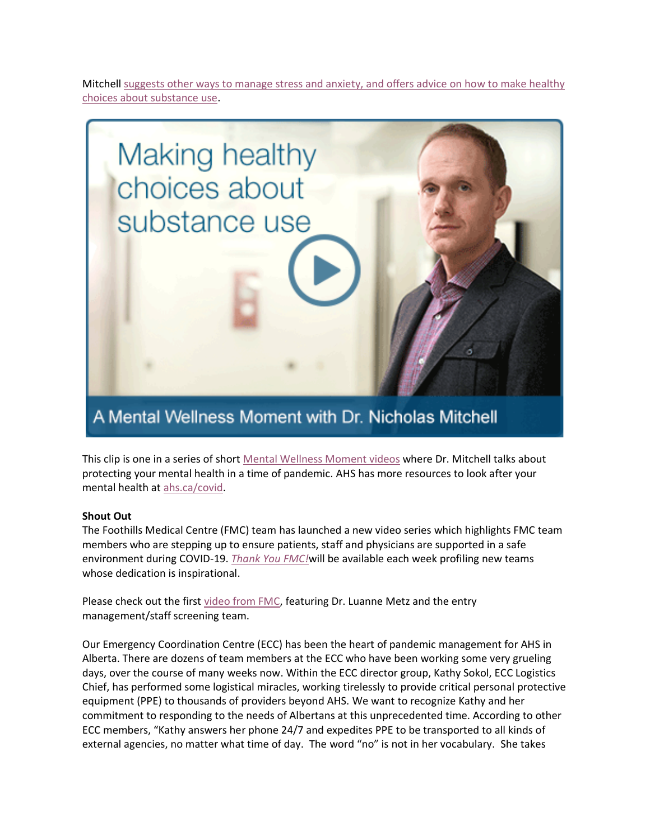Mitchell [suggests other ways to manage stress and anxiety, and offers advice on how to make healthy](https://www.albertahealthservices.ca/topics/Page17012.aspx)  [choices about substance use.](https://www.albertahealthservices.ca/topics/Page17012.aspx)



### A Mental Wellness Moment with Dr. Nicholas Mitchell

This clip is one in a series of short [Mental Wellness Moment videos](https://www.albertahealthservices.ca/topics/Page17012.aspx) where Dr. Mitchell talks about protecting your mental health in a time of pandemic. AHS has more resources to look after your mental health at [ahs.ca/covid.](http://www.ahs.ca/covid)

#### **Shout Out**

The Foothills Medical Centre (FMC) team has launched a new video series which highlights FMC team members who are stepping up to ensure patients, staff and physicians are supported in a safe environment during COVID-19. *[Thank You FMC!](https://youtu.be/EWc3V9GnTLs)*will be available each week profiling new teams whose dedication is inspirational.

Please check out the first [video from FMC,](https://youtu.be/EWc3V9GnTLs) featuring Dr. Luanne Metz and the entry management/staff screening team.

Our Emergency Coordination Centre (ECC) has been the heart of pandemic management for AHS in Alberta. There are dozens of team members at the ECC who have been working some very grueling days, over the course of many weeks now. Within the ECC director group, Kathy Sokol, ECC Logistics Chief, has performed some logistical miracles, working tirelessly to provide critical personal protective equipment (PPE) to thousands of providers beyond AHS. We want to recognize Kathy and her commitment to responding to the needs of Albertans at this unprecedented time. According to other ECC members, "Kathy answers her phone 24/7 and expedites PPE to be transported to all kinds of external agencies, no matter what time of day. The word "no" is not in her vocabulary. She takes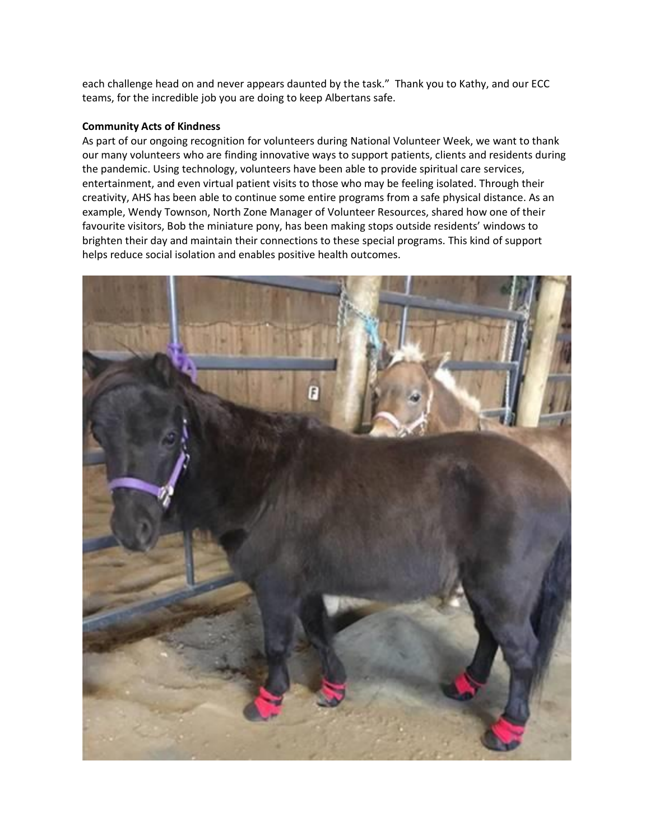each challenge head on and never appears daunted by the task." Thank you to Kathy, and our ECC teams, for the incredible job you are doing to keep Albertans safe.

#### **Community Acts of Kindness**

As part of our ongoing recognition for volunteers during National Volunteer Week, we want to thank our many volunteers who are finding innovative ways to support patients, clients and residents during the pandemic. Using technology, volunteers have been able to provide spiritual care services, entertainment, and even virtual patient visits to those who may be feeling isolated. Through their creativity, AHS has been able to continue some entire programs from a safe physical distance. As an example, Wendy Townson, North Zone Manager of Volunteer Resources, shared how one of their favourite visitors, Bob the miniature pony, has been making stops outside residents' windows to brighten their day and maintain their connections to these special programs. This kind of support helps reduce social isolation and enables positive health outcomes.